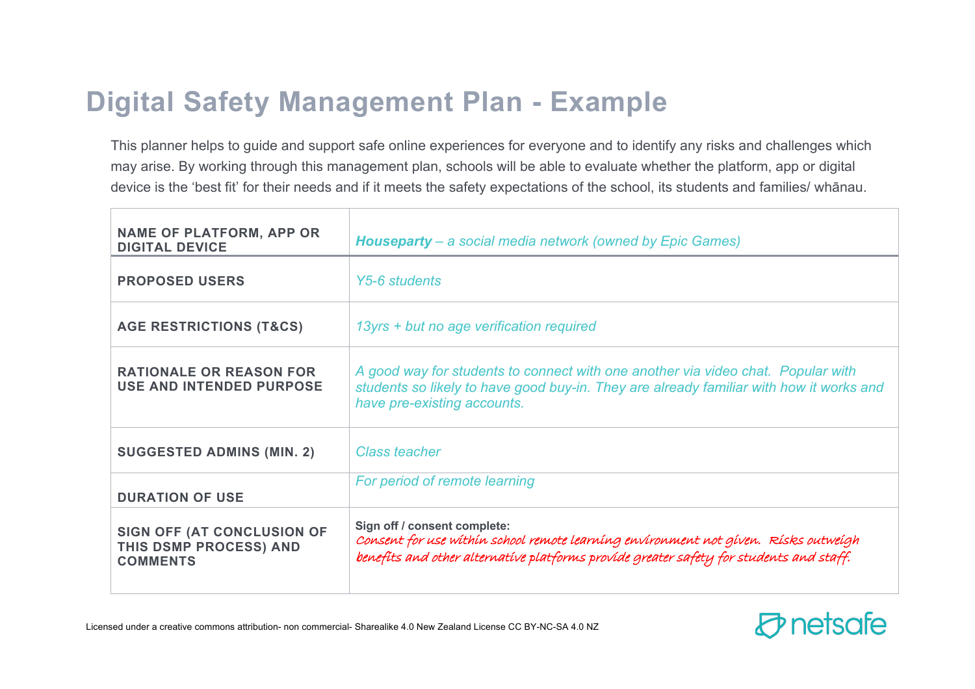## **Digital Safety Management Plan - Example**

This planner helps to guide and support safe online experiences for everyone and to identify any risks and challenges which may arise. By working through this management plan, schools will be able to evaluate whether the platform, app or digital device is the 'best fit' for their needs and if it meets the safety expectations of the school, its students and families/ whānau.

| <b>NAME OF PLATFORM, APP OR</b><br><b>DIGITAL DEVICE</b>                | <b>Houseparty</b> – a social media network (owned by Epic Games)                                                                                                                                               |
|-------------------------------------------------------------------------|----------------------------------------------------------------------------------------------------------------------------------------------------------------------------------------------------------------|
| <b>PROPOSED USERS</b>                                                   | Y5-6 students                                                                                                                                                                                                  |
| <b>AGE RESTRICTIONS (T&amp;CS)</b>                                      | 13yrs + but no age verification required                                                                                                                                                                       |
| <b>RATIONALE OR REASON FOR</b><br><b>USE AND INTENDED PURPOSE</b>       | A good way for students to connect with one another via video chat. Popular with<br>students so likely to have good buy-in. They are already familiar with how it works and<br>have pre-existing accounts.     |
| <b>SUGGESTED ADMINS (MIN. 2)</b>                                        | Class teacher                                                                                                                                                                                                  |
| <b>DURATION OF USE</b>                                                  | For period of remote learning                                                                                                                                                                                  |
| SIGN OFF (AT CONCLUSION OF<br>THIS DSMP PROCESS) AND<br><b>COMMENTS</b> | Sign off / consent complete:<br>Consent for use within school remote learning environment not given. Risks outweigh<br>benefits and other alternative platforms provide greater safety for students and staff. |

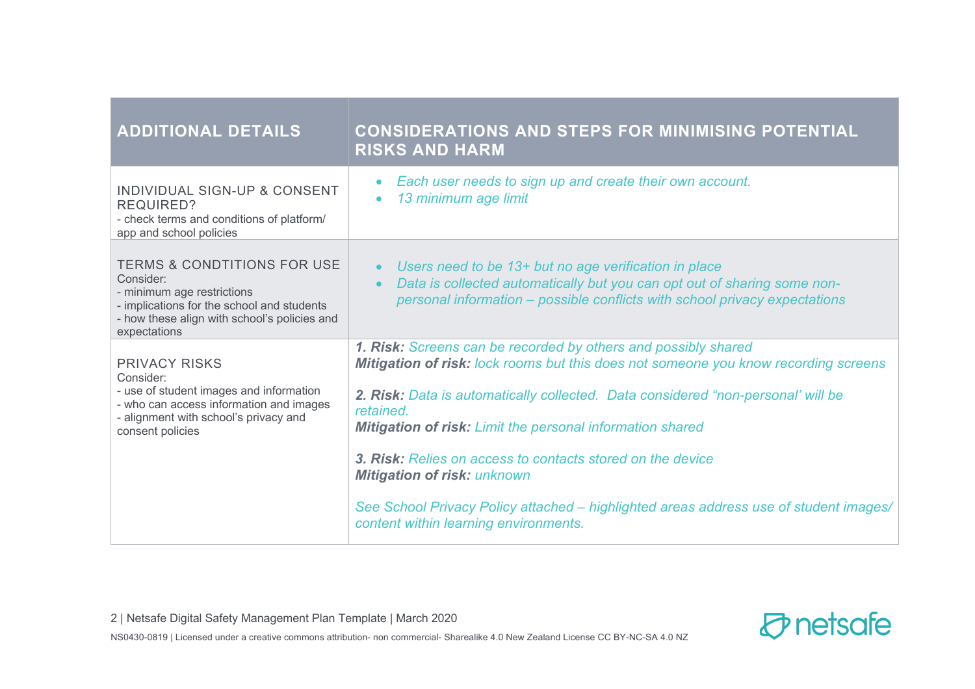| <b>ADDITIONAL DETAILS</b>                                                                                                                                                                       | <b>CONSIDERATIONS AND STEPS FOR MINIMISING POTENTIAL</b><br><b>RISKS AND HARM</b>                                                                                                                                                                                                                                                                                                                                                                                                                                                                                |
|-------------------------------------------------------------------------------------------------------------------------------------------------------------------------------------------------|------------------------------------------------------------------------------------------------------------------------------------------------------------------------------------------------------------------------------------------------------------------------------------------------------------------------------------------------------------------------------------------------------------------------------------------------------------------------------------------------------------------------------------------------------------------|
| INDIVIDUAL SIGN-UP & CONSENT<br><b>REQUIRED?</b><br>- check terms and conditions of platform/<br>app and school policies                                                                        | Each user needs to sign up and create their own account.<br>$\bullet$<br>13 minimum age limit<br>$\bullet$                                                                                                                                                                                                                                                                                                                                                                                                                                                       |
| <b>TERMS &amp; CONDTITIONS FOR USE</b><br>Consider:<br>- minimum age restrictions<br>- implications for the school and students<br>- how these align with school's policies and<br>expectations | Users need to be 13+ but no age verification in place<br>$\bullet$<br>Data is collected automatically but you can opt out of sharing some non-<br>$\bullet$<br>personal information – possible conflicts with school privacy expectations                                                                                                                                                                                                                                                                                                                        |
| <b>PRIVACY RISKS</b><br>Consider:<br>- use of student images and information<br>- who can access information and images<br>- alignment with school's privacy and<br>consent policies            | 1. Risk: Screens can be recorded by others and possibly shared<br>Mitigation of risk: lock rooms but this does not someone you know recording screens<br>2. Risk: Data is automatically collected. Data considered "non-personal' will be<br>retained.<br><b>Mitigation of risk:</b> Limit the personal information shared<br>3. Risk: Relies on access to contacts stored on the device<br><b>Mitigation of risk: unknown</b><br>See School Privacy Policy attached – highlighted areas address use of student images/<br>content within learning environments. |

NS0430-0819 | Licensed under a creative commons attribution- non commercial- Sharealike 4.0 New Zealand License CC BY-NC-SA 4.0 NZ

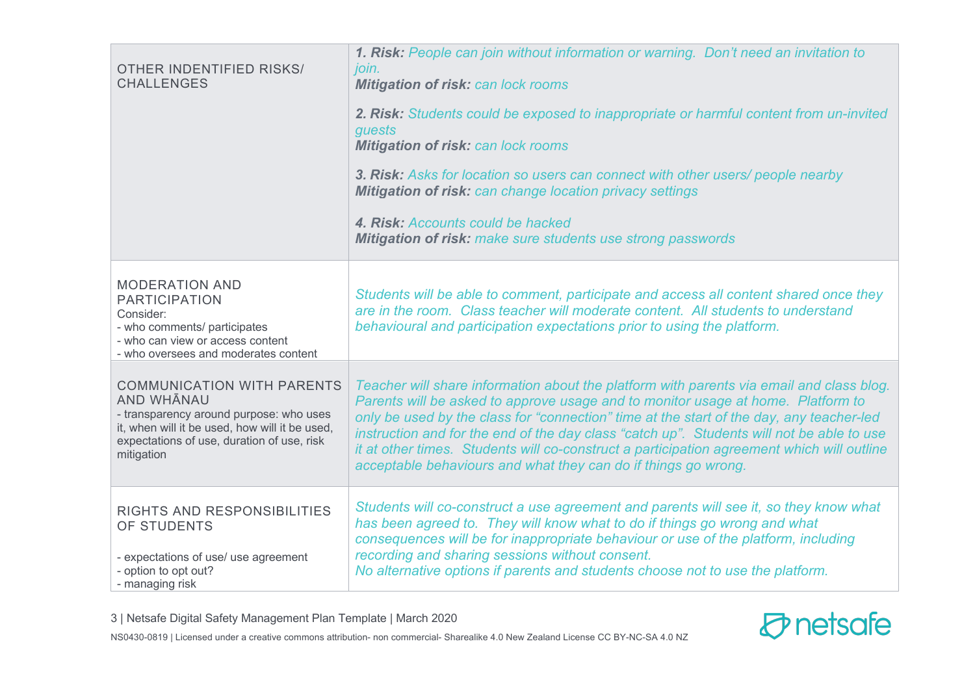| <b>OTHER INDENTIFIED RISKS/</b><br><b>CHALLENGES</b>                                                                                                                   | 1. Risk: People can join without information or warning. Don't need an invitation to<br>join.<br><b>Mitigation of risk: can lock rooms</b><br>2. Risk: Students could be exposed to inappropriate or harmful content from un-invited<br>guests<br><b>Mitigation of risk: can lock rooms</b><br>3. Risk: Asks for location so users can connect with other users/ people nearby<br><b>Mitigation of risk: can change location privacy settings</b><br>4. Risk: Accounts could be hacked<br><b>Mitigation of risk:</b> make sure students use strong passwords |
|------------------------------------------------------------------------------------------------------------------------------------------------------------------------|--------------------------------------------------------------------------------------------------------------------------------------------------------------------------------------------------------------------------------------------------------------------------------------------------------------------------------------------------------------------------------------------------------------------------------------------------------------------------------------------------------------------------------------------------------------|
| <b>MODERATION AND</b><br><b>PARTICIPATION</b><br>Consider:<br>- who comments/ participates<br>- who can view or access content<br>- who oversees and moderates content | Students will be able to comment, participate and access all content shared once they<br>are in the room. Class teacher will moderate content. All students to understand<br>behavioural and participation expectations prior to using the platform.                                                                                                                                                                                                                                                                                                         |
| <b>COMMUNICATION WITH PARENTS</b>                                                                                                                                      | Teacher will share information about the platform with parents via email and class blog.                                                                                                                                                                                                                                                                                                                                                                                                                                                                     |
| <b>AND WHANAU</b>                                                                                                                                                      | Parents will be asked to approve usage and to monitor usage at home. Platform to                                                                                                                                                                                                                                                                                                                                                                                                                                                                             |
| - transparency around purpose: who uses                                                                                                                                | only be used by the class for "connection" time at the start of the day, any teacher-led                                                                                                                                                                                                                                                                                                                                                                                                                                                                     |
| it, when will it be used, how will it be used,                                                                                                                         | instruction and for the end of the day class "catch up". Students will not be able to use                                                                                                                                                                                                                                                                                                                                                                                                                                                                    |
| expectations of use, duration of use, risk                                                                                                                             | it at other times. Students will co-construct a participation agreement which will outline                                                                                                                                                                                                                                                                                                                                                                                                                                                                   |
| mitigation                                                                                                                                                             | acceptable behaviours and what they can do if things go wrong.                                                                                                                                                                                                                                                                                                                                                                                                                                                                                               |
| RIGHTS AND RESPONSIBILITIES                                                                                                                                            | Students will co-construct a use agreement and parents will see it, so they know what                                                                                                                                                                                                                                                                                                                                                                                                                                                                        |
| OF STUDENTS                                                                                                                                                            | has been agreed to. They will know what to do if things go wrong and what                                                                                                                                                                                                                                                                                                                                                                                                                                                                                    |
| - expectations of use/ use agreement                                                                                                                                   | consequences will be for inappropriate behaviour or use of the platform, including                                                                                                                                                                                                                                                                                                                                                                                                                                                                           |
| - option to opt out?                                                                                                                                                   | recording and sharing sessions without consent.                                                                                                                                                                                                                                                                                                                                                                                                                                                                                                              |
| - managing risk                                                                                                                                                        | No alternative options if parents and students choose not to use the platform.                                                                                                                                                                                                                                                                                                                                                                                                                                                                               |

3 | Netsafe Digital Safety Management Plan Template | March 2020

NS0430-0819 | Licensed under a creative commons attribution- non commercial- Sharealike 4.0 New Zealand License CC BY-NC-SA 4.0 NZ